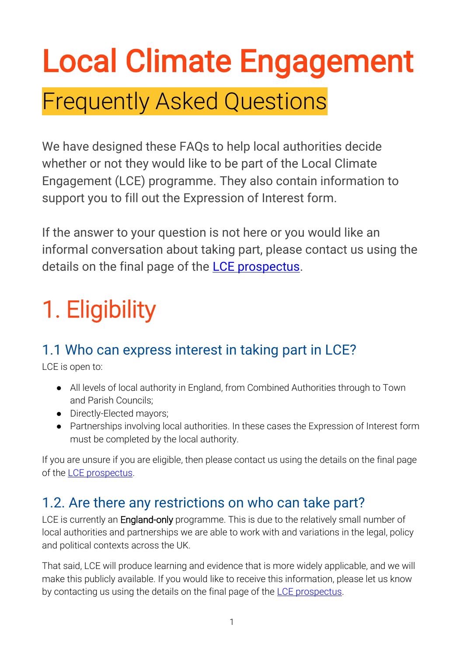# Local Climate Engagement

### Frequently Asked Questions

We have designed these FAQs to help local authorities decide whether or not they would like to be part of the Local Climate Engagement (LCE) programme. They also contain information to support you to fill out the Expression of Interest form.

If the answer to your question is not here or you would like an informal conversation about taking part, please contact us using the details on the final page of the [LCE prospectus.](https://www.involve.org.uk/sites/default/files/field/attachemnt/Prospectus.pdf)

## 1. Eligibility

#### 1.1 Who can express interest in taking part in LCE?

LCE is open to:

- All levels of local authority in England, from Combined Authorities through to Town and Parish Councils;
- Directly-Elected mayors;
- Partnerships involving local authorities. In these cases the Expression of Interest form must be completed by the local authority.

If you are unsure if you are eligible, then please contact us using the details on the final page of the [LCE prospectus.](https://www.involve.org.uk/sites/default/files/field/attachemnt/Prospectus.pdf)

#### 1.2. Are there any restrictions on who can take part?

LCE is currently an **England-only** programme. This is due to the relatively small number of local authorities and partnerships we are able to work with and variations in the legal, policy and political contexts across the UK.

That said, LCE will produce learning and evidence that is more widely applicable, and we will make this publicly available. If you would like to receive this information, please let us know by contacting us using the details on the final page of the [LCE prospectus.](https://www.involve.org.uk/sites/default/files/field/attachemnt/Prospectus.pdf)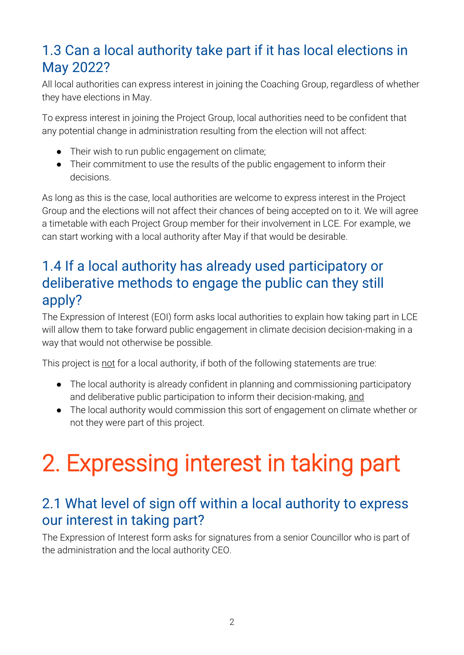#### 1.3 Can a local authority take part if it has local elections in May 2022?

All local authorities can express interest in joining the Coaching Group, regardless of whether they have elections in May.

To express interest in joining the Project Group, local authorities need to be confident that any potential change in administration resulting from the election will not affect:

- Their wish to run public engagement on climate;
- Their commitment to use the results of the public engagement to inform their decisions.

As long as this is the case, local authorities are welcome to express interest in the Project Group and the elections will not affect their chances of being accepted on to it. We will agree a timetable with each Project Group member for their involvement in LCE. For example, we can start working with a local authority after May if that would be desirable.

#### 1.4 If a local authority has already used participatory or deliberative methods to engage the public can they still apply?

The Expression of Interest (EOI) form asks local authorities to explain how taking part in LCE will allow them to take forward public engagement in climate decision decision-making in a way that would not otherwise be possible.

This project is not for a local authority, if both of the following statements are true:

- The local authority is already confident in planning and commissioning participatory and deliberative public participation to inform their decision-making, and
- The local authority would commission this sort of engagement on climate whether or not they were part of this project.

### 2. Expressing interest in taking part

#### 2.1 What level of sign off within a local authority to express our interest in taking part?

The Expression of Interest form asks for signatures from a senior Councillor who is part of the administration and the local authority CEO.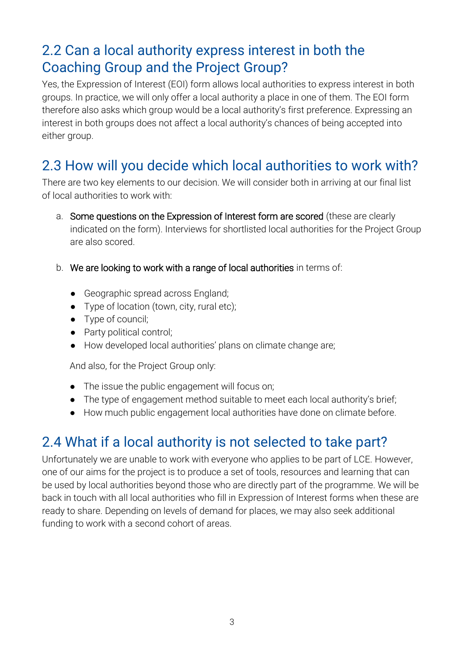#### 2.2 Can a local authority express interest in both the Coaching Group and the Project Group?

Yes, the Expression of Interest (EOI) form allows local authorities to express interest in both groups. In practice, we will only offer a local authority a place in one of them. The EOI form therefore also asks which group would be a local authority's first preference. Expressing an interest in both groups does not affect a local authority's chances of being accepted into either group.

#### 2.3 How will you decide which local authorities to work with?

There are two key elements to our decision. We will consider both in arriving at our final list of local authorities to work with:

- a. Some questions on the Expression of Interest form are scored (these are clearly indicated on the form). Interviews for shortlisted local authorities for the Project Group are also scored.
- b. We are looking to work with a range of local authorities in terms of:
	- Geographic spread across England;
	- Type of location (town, city, rural etc);
	- Type of council;
	- Party political control;
	- How developed local authorities' plans on climate change are;

And also, for the Project Group only:

- The issue the public engagement will focus on;
- The type of engagement method suitable to meet each local authority's brief;
- How much public engagement local authorities have done on climate before.

#### 2.4 What if a local authority is not selected to take part?

Unfortunately we are unable to work with everyone who applies to be part of LCE. However, one of our aims for the project is to produce a set of tools, resources and learning that can be used by local authorities beyond those who are directly part of the programme. We will be back in touch with all local authorities who fill in Expression of Interest forms when these are ready to share. Depending on levels of demand for places, we may also seek additional funding to work with a second cohort of areas.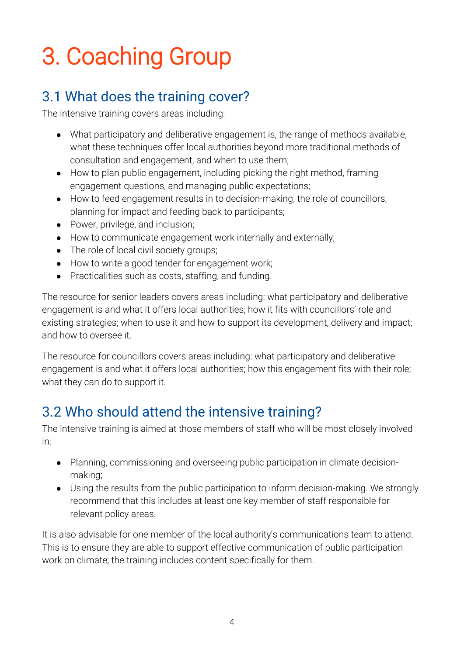### 3. Coaching Group

#### 3.1 What does the training cover?

The intensive training covers areas including:

- What participatory and deliberative engagement is, the range of methods available, what these techniques offer local authorities beyond more traditional methods of consultation and engagement, and when to use them;
- How to plan public engagement, including picking the right method, framing engagement questions, and managing public expectations;
- How to feed engagement results in to decision-making, the role of councillors, planning for impact and feeding back to participants;
- Power, privilege, and inclusion;
- How to communicate engagement work internally and externally;
- The role of local civil society groups;
- How to write a good tender for engagement work;
- Practicalities such as costs, staffing, and funding.

The resource for senior leaders covers areas including: what participatory and deliberative engagement is and what it offers local authorities; how it fits with councillors' role and existing strategies; when to use it and how to support its development, delivery and impact; and how to oversee it.

The resource for councillors covers areas including: what participatory and deliberative engagement is and what it offers local authorities; how this engagement fits with their role; what they can do to support it.

#### 3.2 Who should attend the intensive training?

The intensive training is aimed at those members of staff who will be most closely involved in:

- Planning, commissioning and overseeing public participation in climate decisionmaking;
- Using the results from the public participation to inform decision-making. We strongly recommend that this includes at least one key member of staff responsible for relevant policy areas.

It is also advisable for one member of the local authority's communications team to attend. This is to ensure they are able to support effective communication of public participation work on climate; the training includes content specifically for them.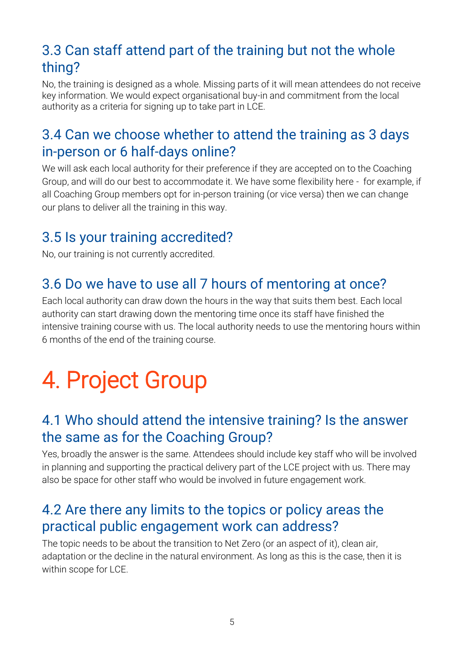#### 3.3 Can staff attend part of the training but not the whole thing?

No, the training is designed as a whole. Missing parts of it will mean attendees do not receive key information. We would expect organisational buy-in and commitment from the local authority as a criteria for signing up to take part in LCE.

#### 3.4 Can we choose whether to attend the training as 3 days in-person or 6 half-days online?

We will ask each local authority for their preference if they are accepted on to the Coaching Group, and will do our best to accommodate it. We have some flexibility here - for example, if all Coaching Group members opt for in-person training (or vice versa) then we can change our plans to deliver all the training in this way.

#### 3.5 Is your training accredited?

No, our training is not currently accredited.

#### 3.6 Do we have to use all 7 hours of mentoring at once?

Each local authority can draw down the hours in the way that suits them best. Each local authority can start drawing down the mentoring time once its staff have finished the intensive training course with us. The local authority needs to use the mentoring hours within 6 months of the end of the training course.

### 4. Project Group

#### 4.1 Who should attend the intensive training? Is the answer the same as for the Coaching Group?

Yes, broadly the answer is the same. Attendees should include key staff who will be involved in planning and supporting the practical delivery part of the LCE project with us. There may also be space for other staff who would be involved in future engagement work.

#### 4.2 Are there any limits to the topics or policy areas the practical public engagement work can address?

The topic needs to be about the transition to Net Zero (or an aspect of it), clean air, adaptation or the decline in the natural environment. As long as this is the case, then it is within scope for LCE.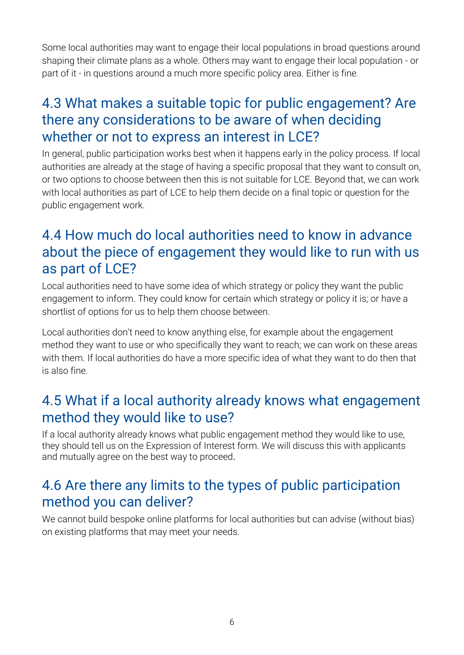Some local authorities may want to engage their local populations in broad questions around shaping their climate plans as a whole. Others may want to engage their local population - or part of it - in questions around a much more specific policy area. Either is fine.

#### 4.3 What makes a suitable topic for public engagement? Are there any considerations to be aware of when deciding whether or not to express an interest in LCE?

In general, public participation works best when it happens early in the policy process. If local authorities are already at the stage of having a specific proposal that they want to consult on, or two options to choose between then this is not suitable for LCE. Beyond that, we can work with local authorities as part of LCE to help them decide on a final topic or question for the public engagement work.

#### 4.4 How much do local authorities need to know in advance about the piece of engagement they would like to run with us as part of LCE?

Local authorities need to have some idea of which strategy or policy they want the public engagement to inform. They could know for certain which strategy or policy it is; or have a shortlist of options for us to help them choose between.

Local authorities don't need to know anything else, for example about the engagement method they want to use or who specifically they want to reach; we can work on these areas with them. If local authorities do have a more specific idea of what they want to do then that is also fine.

#### 4.5 What if a local authority already knows what engagement method they would like to use?

If a local authority already knows what public engagement method they would like to use, they should tell us on the Expression of Interest form. We will discuss this with applicants and mutually agree on the best way to proceed.

#### 4.6 Are there any limits to the types of public participation method you can deliver?

We cannot build bespoke online platforms for local authorities but can advise (without bias) on existing platforms that may meet your needs.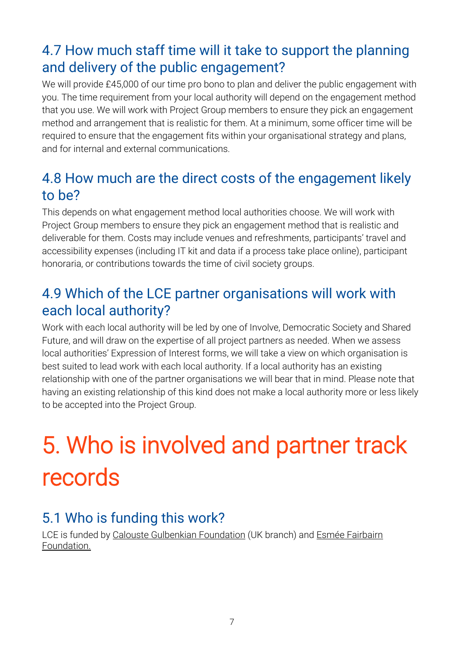#### 4.7 How much staff time will it take to support the planning and delivery of the public engagement?

We will provide £45,000 of our time pro bono to plan and deliver the public engagement with you. The time requirement from your local authority will depend on the engagement method that you use. We will work with Project Group members to ensure they pick an engagement method and arrangement that is realistic for them. At a minimum, some officer time will be required to ensure that the engagement fits within your organisational strategy and plans, and for internal and external communications.

#### 4.8 How much are the direct costs of the engagement likely to be?

This depends on what engagement method local authorities choose. We will work with Project Group members to ensure they pick an engagement method that is realistic and deliverable for them. Costs may include venues and refreshments, participants' travel and accessibility expenses (including IT kit and data if a process take place online), participant honoraria, or contributions towards the time of civil society groups.

#### 4.9 Which of the LCE partner organisations will work with each local authority?

Work with each local authority will be led by one of Involve, Democratic Society and Shared Future, and will draw on the expertise of all project partners as needed. When we assess local authorities' Expression of Interest forms, we will take a view on which organisation is best suited to lead work with each local authority. If a local authority has an existing relationship with one of the partner organisations we will bear that in mind. Please note that having an existing relationship of this kind does not make a local authority more or less likely to be accepted into the Project Group.

### 5. Who is involved and partner track records

#### 5.1 Who is funding this work?

LCE is funded by [Calouste Gulbenkian Foundation](https://gulbenkian.pt/uk-branch/) (UK branch) and Esmée Fairbairn [Foundation.](https://esmeefairbairn.org.uk/)